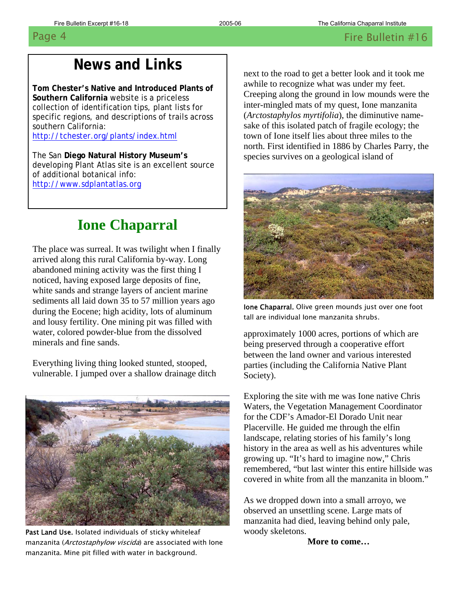# **News and Links**

 **Tom Chester's Native and Introduced Plants of Southern California** website is a priceless collection of identification tips, plant lists for specific regions, and descriptions of trails across southern California: <http://tchester.org/plants/index.html>

The San **Diego Natural History Museum's** developing Plant Atlas site is an excellent source of additional botanical info:

[http://www.sdplantatlas.org](http://www.sdplantatlas.org/)

# **Ione Chaparral**

 abandoned mining activity was the first thing I water, colored powder-blue from the dissolved The place was surreal. It was twilight when I finally arrived along this rural California by-way. Long noticed, having exposed large deposits of fine, white sands and strange layers of ancient marine sediments all laid down 35 to 57 million years ago during the Eocene; high acidity, lots of aluminum and lousy fertility. One mining pit was filled with minerals and fine sands.

Everything living thing looked stunted, stooped, vulnerable. I jumped over a shallow drainage ditch



Past Land Use. Isolated individuals of sticky whiteleaf manzanita (Arctostaphylow viscida) are associated with Ione manzanita. Mine pit filled with water in background.

next to the road to get a better look and it took me awhile to recognize what was under my feet. Creeping along the ground in low mounds were the inter-mingled mats of my quest, Ione manzanita (*Arctostaphylos myrtifolia*), the diminutive namesake of this isolated patch of fragile ecology; the town of Ione itself lies about three miles to the north. First identified in 1886 by Charles Parry, the species survives on a geological island of



Ione Chaparral. Olive green mounds just over one foot tall are individual Ione manzanita shrubs.

approximately 1000 acres, portions of which are being preserved through a cooperative effort between the land owner and various interested parties (including the California Native Plant Society).

Exploring the site with me was Ione native Chris Waters, the Vegetation Management Coordinator for the CDF's Amador-El Dorado Unit near Placerville. He guided me through the elfin landscape, relating stories of his family's long history in the area as well as his adventures while growing up. "It's hard to imagine now," Chris remembered, "but last winter this entire hillside was covered in white from all the manzanita in bloom."

As we dropped down into a small arroyo, we observed an unsettling scene. Large mats of manzanita had died, leaving behind only pale, woody skeletons.

**More to come…**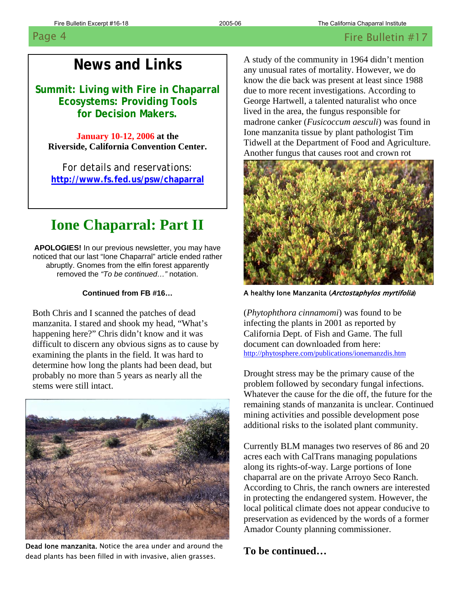### **News and Links**

 **Summit: Living with Fire in Chaparral Ecosystems: Providing Tools for Decision Makers.** 

**January 10-12, 2006 at the Riverside, California Convention Center.**

 **<http://www.fs.fed.us/psw/chaparral>** For details and reservations:

# **Ione Chaparral: Part II**

uptly. Gnomes from the eifin forest apparer<br>removed the *"To be continued..."* notation. abruptly. Gnomes from the elfin forest apparently **APOLOGIES!** In our previous newsletter, you may have noticed that our last "Ione Chaparral" article ended rather

### **Continued from FB #16…**

happening here?" Chris didn't know and it was Both Chris and I scanned the patches of dead manzanita. I stared and shook my head, "What's difficult to discern any obvious signs as to cause by examining the plants in the field. It was hard to determine how long the plants had been dead, but probably no more than 5 years as nearly all the stems were still intact.



Dead Ione manzanita. Notice the area under and around the dead plants has been filled in with invasive, alien grasses.

A study of the community in 1964 didn't mention any unusual rates of mortality. However, we do know the die back was present at least since 1988 due to more recent investigations. According to George Hartwell, a talented naturalist who once lived in the area, the fungus responsible for madrone canker (*Fusicoccum aesculi*) was found in Ione manzanita tissue by plant pathologist Tim Tidwell at the Department of Food and Agriculture. Another fungus that causes root and crown rot



A healthy Ione Manzanita (Arctostaphylos myrtifolia)

(*Phytophthora cinnamomi*) was found to be infecting the plants in 2001 as reported by California Dept. of Fish and Game. The full document can downloaded from here: <http://phytosphere.com/publications/ionemanzdis.htm>

Drought stress may be the primary cause of the problem followed by secondary fungal infections. Whatever the cause for the die off, the future for the remaining stands of manzanita is unclear. Continued mining activities and possible development pose additional risks to the isolated plant community.

Currently BLM manages two reserves of 86 and 20 acres each with CalTrans managing populations along its rights-of-way. Large portions of Ione chaparral are on the private Arroyo Seco Ranch. According to Chris, the ranch owners are interested in protecting the endangered system. However, the local political climate does not appear conducive to preservation as evidenced by the words of a former Amador County planning commissioner.

## **To be continued…**